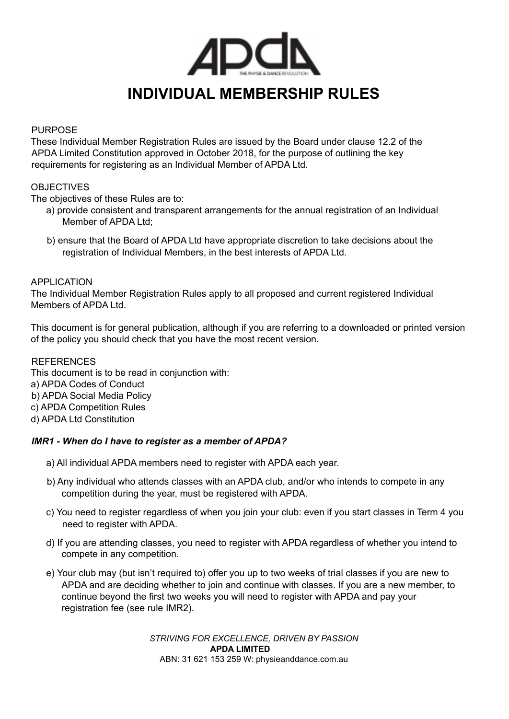

# **INDIVIDUAL MEMBERSHIP RULES**

#### PURPOSE

These Individual Member Registration Rules are issued by the Board under clause 12.2 of the APDA Limited Constitution approved in October 2018, for the purpose of outlining the key requirements for registering as an Individual Member of APDA Ltd.

# **OBJECTIVES**

The objectives of these Rules are to:

- a) provide consistent and transparent arrangements for the annual registration of an Individual Member of APDA Ltd;
- b) ensure that the Board of APDA Ltd have appropriate discretion to take decisions about the registration of Individual Members, in the best interests of APDA Ltd.

## APPLICATION

The Individual Member Registration Rules apply to all proposed and current registered Individual Members of APDA Ltd.

This document is for general publication, although if you are referring to a downloaded or printed version of the policy you should check that you have the most recent version.

REFERENCES This document is to be read in conjunction with: a) APDA Codes of Conduct b) APDA Social Media Policy c) APDA Competition Rules d) APDA Ltd Constitution

# *IMR1 - When do I have to register as a member of APDA?*

- a) All individual APDA members need to register with APDA each year.
- b) Any individual who attends classes with an APDA club, and/or who intends to compete in any competition during the year, must be registered with APDA.
- c) You need to register regardless of when you join your club: even if you start classes in Term 4 you need to register with APDA.
- d) If you are attending classes, you need to register with APDA regardless of whether you intend to compete in any competition.
- e) Your club may (but isn't required to) offer you up to two weeks of trial classes if you are new to APDA and are deciding whether to join and continue with classes. If you are a new member, to continue beyond the first two weeks you will need to register with APDA and pay your registration fee (see rule IMR2).

*STRIVING FOR EXCELLENCE, DRIVEN BY PASSION* **APDA LIMITED** ABN: 31 621 153 259 W: physieanddance.com.au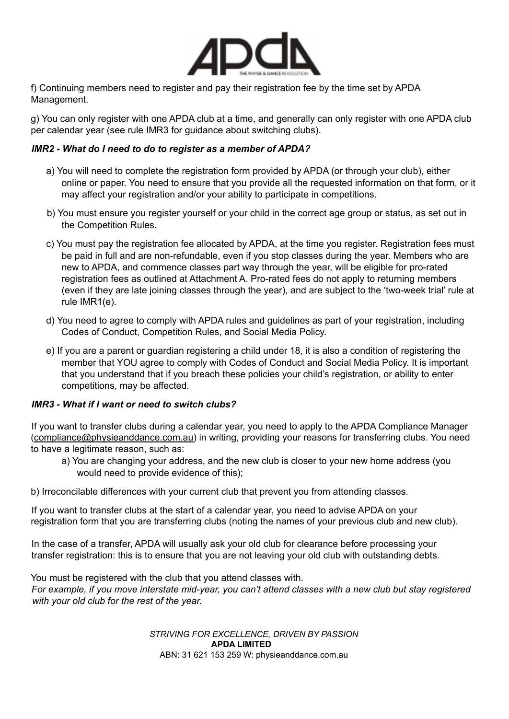

f) Continuing members need to register and pay their registration fee by the time set by APDA Management.

g) You can only register with one APDA club at a time, and generally can only register with one APDA club per calendar year (see rule IMR3 for guidance about switching clubs).

## *IMR2 - What do I need to do to register as a member of APDA?*

- a) You will need to complete the registration form provided by APDA (or through your club), either online or paper. You need to ensure that you provide all the requested information on that form, or it may affect your registration and/or your ability to participate in competitions.
- b) You must ensure you register yourself or your child in the correct age group or status, as set out in the Competition Rules.
- c) You must pay the registration fee allocated by APDA, at the time you register. Registration fees must be paid in full and are non-refundable, even if you stop classes during the year. Members who are new to APDA, and commence classes part way through the year, will be eligible for pro-rated registration fees as outlined at Attachment A. Pro-rated fees do not apply to returning members (even if they are late joining classes through the year), and are subject to the 'two-week trial' rule at rule IMR1(e).
- d) You need to agree to comply with APDA rules and guidelines as part of your registration, including Codes of Conduct, Competition Rules, and Social Media Policy.
- e) If you are a parent or guardian registering a child under 18, it is also a condition of registering the member that YOU agree to comply with Codes of Conduct and Social Media Policy. It is important that you understand that if you breach these policies your child's registration, or ability to enter competitions, may be affected.

#### *IMR3 - What if I want or need to switch clubs?*

If you want to transfer clubs during a calendar year, you need to apply to the APDA Compliance Manager (compliance@physieanddance.com.au) in writing, providing your reasons for transferring clubs. You need to have a legitimate reason, such as:

- a) You are changing your address, and the new club is closer to your new home address (you would need to provide evidence of this);
- b) Irreconcilable differences with your current club that prevent you from attending classes.

If you want to transfer clubs at the start of a calendar year, you need to advise APDA on your registration form that you are transferring clubs (noting the names of your previous club and new club).

In the case of a transfer, APDA will usually ask your old club for clearance before processing your transfer registration: this is to ensure that you are not leaving your old club with outstanding debts.

You must be registered with the club that you attend classes with.

For example, if you move interstate mid-year, you can't attend classes with a new club but stay registered *with your old club for the rest of the year.*

> *STRIVING FOR EXCELLENCE, DRIVEN BY PASSION* **APDA LIMITED** ABN: 31 621 153 259 W: physieanddance.com.au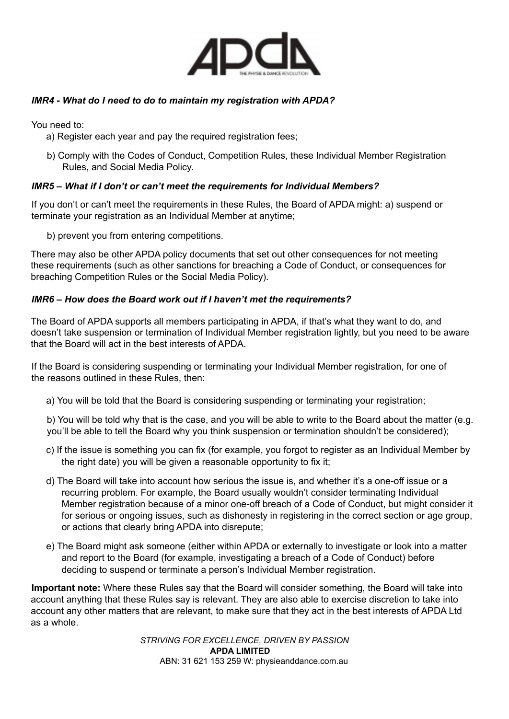

# *IMR4 - What do I need to do to maintain my registration with APDA?*

You need to:

- a) Register each year and pay the required registration fees;
- b) Comply with the Codes of Conduct, Competition Rules, these Individual Member Registration Rules, and Social Media Policy.

## *IMR5 – What if I don't or can't meet the requirements for Individual Members?*

If you don't or can't meet the requirements in these Rules, the Board of APDA might: a) suspend or terminate your registration as an Individual Member at anytime;

b) prevent you from entering competitions.

There may also be other APDA policy documents that set out other consequences for not meeting these requirements (such as other sanctions for breaching a Code of Conduct, or consequences for breaching Competition Rules or the Social Media Policy).

## *IMR6 – How does the Board work out if I haven't met the requirements?*

The Board of APDA supports all members participating in APDA, if that's what they want to do, and doesn't take suspension or termination of Individual Member registration lightly, but you need to be aware that the Board will act in the best interests of APDA.

If the Board is considering suspending or terminating your Individual Member registration, for one of the reasons outlined in these Rules, then:

a) You will be told that the Board is considering suspending or terminating your registration;

b) You will be told why that is the case, and you will be able to write to the Board about the matter (e.g. you'll be able to tell the Board why you think suspension or termination shouldn't be considered);

- c) If the issue is something you can fix (for example, you forgot to register as an Individual Member by the right date) you will be given a reasonable opportunity to fix it;
- d) The Board will take into account how serious the issue is, and whether it's a one-off issue or a recurring problem. For example, the Board usually wouldn't consider terminating Individual Member registration because of a minor one-off breach of a Code of Conduct, but might consider it for serious or ongoing issues, such as dishonesty in registering in the correct section or age group, or actions that clearly bring APDA into disrepute;
- e) The Board might ask someone (either within APDA or externally to investigate or look into a matter and report to the Board (for example, investigating a breach of a Code of Conduct) before deciding to suspend or terminate a person's Individual Member registration.

**Important note:** Where these Rules say that the Board will consider something, the Board will take into account anything that these Rules say is relevant. They are also able to exercise discretion to take into account any other matters that are relevant, to make sure that they act in the best interests of APDA Ltd as a whole.

> *STRIVING FOR EXCELLENCE, DRIVEN BY PASSION* **APDA LIMITED** ABN: 31 621 153 259 W: physieanddance.com.au